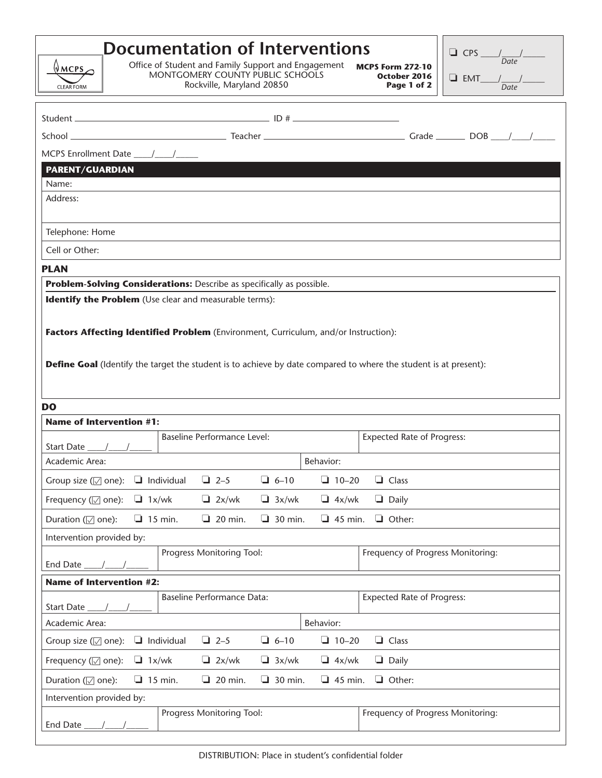| WMS<br>CLEAR FORM                                                                                                                                                                                                                                                   | <b>Documentation of Interventions</b><br>Office of Student and Family Support and Engagement<br>MONTGOMERY COUNTY PUBLIC SCHOOLS | Rockville, Maryland 20850          |                |                                   | <b>MCPS Form 272-10</b><br>October 2016<br>Page 1 of 2 | $\Box$ CPS $\frac{1}{Date}$<br>$\Box$ EMT___/ $\frac{1}{Date}$ / |  |
|---------------------------------------------------------------------------------------------------------------------------------------------------------------------------------------------------------------------------------------------------------------------|----------------------------------------------------------------------------------------------------------------------------------|------------------------------------|----------------|-----------------------------------|--------------------------------------------------------|------------------------------------------------------------------|--|
|                                                                                                                                                                                                                                                                     |                                                                                                                                  |                                    |                |                                   |                                                        |                                                                  |  |
|                                                                                                                                                                                                                                                                     |                                                                                                                                  |                                    |                |                                   |                                                        |                                                                  |  |
|                                                                                                                                                                                                                                                                     |                                                                                                                                  |                                    |                |                                   |                                                        |                                                                  |  |
| <b>PARENT/GUARDIAN</b>                                                                                                                                                                                                                                              |                                                                                                                                  |                                    |                |                                   |                                                        |                                                                  |  |
| Name:                                                                                                                                                                                                                                                               |                                                                                                                                  |                                    |                |                                   |                                                        |                                                                  |  |
| Address:                                                                                                                                                                                                                                                            |                                                                                                                                  |                                    |                |                                   |                                                        |                                                                  |  |
| Telephone: Home                                                                                                                                                                                                                                                     |                                                                                                                                  |                                    |                |                                   |                                                        |                                                                  |  |
| Cell or Other:                                                                                                                                                                                                                                                      |                                                                                                                                  |                                    |                |                                   |                                                        |                                                                  |  |
| <b>PLAN</b>                                                                                                                                                                                                                                                         |                                                                                                                                  |                                    |                |                                   |                                                        |                                                                  |  |
| Problem-Solving Considerations: Describe as specifically as possible.                                                                                                                                                                                               |                                                                                                                                  |                                    |                |                                   |                                                        |                                                                  |  |
| Factors Affecting Identified Problem (Environment, Curriculum, and/or Instruction):<br><b>Define Goal</b> (Identify the target the student is to achieve by date compared to where the student is at present):<br>D <sub>O</sub><br><b>Name of Intervention #1:</b> |                                                                                                                                  |                                    |                |                                   |                                                        |                                                                  |  |
| Start Date 1                                                                                                                                                                                                                                                        |                                                                                                                                  | <b>Baseline Performance Level:</b> |                |                                   | <b>Expected Rate of Progress:</b>                      |                                                                  |  |
| Behavior:<br>Academic Area:                                                                                                                                                                                                                                         |                                                                                                                                  |                                    |                |                                   |                                                        |                                                                  |  |
| Group size ( $\sqrt{ }$ one): $\Box$ Individual                                                                                                                                                                                                                     |                                                                                                                                  | $\Box$ 2-5                         | $\Box$ 6-10    | $10-20$                           | $\Box$ Class                                           |                                                                  |  |
| Frequency ( $\sqrt{ }$ one): $\Box$ 1x/wk                                                                                                                                                                                                                           |                                                                                                                                  | $\Box$ 2x/wk                       | $\Box$ 3x/wk   | $\Box$ 4x/wk                      | $\Box$ Daily                                           |                                                                  |  |
| Duration (☑ one):                                                                                                                                                                                                                                                   | $\Box$ 15 min.                                                                                                                   | $\Box$ 20 min.                     | $\Box$ 30 min. | $\Box$ 45 min.                    | $\Box$ Other:                                          |                                                                  |  |
| Intervention provided by:<br>Progress Monitoring Tool:<br>End Date $\_\_\_\_\_\_\_\_\_\_\_\$                                                                                                                                                                        |                                                                                                                                  |                                    |                | Frequency of Progress Monitoring: |                                                        |                                                                  |  |
| <b>Name of Intervention #2:</b>                                                                                                                                                                                                                                     |                                                                                                                                  |                                    |                |                                   |                                                        |                                                                  |  |
|                                                                                                                                                                                                                                                                     |                                                                                                                                  | <b>Baseline Performance Data:</b>  |                |                                   | <b>Expected Rate of Progress:</b>                      |                                                                  |  |
| Behavior:<br>Academic Area:                                                                                                                                                                                                                                         |                                                                                                                                  |                                    |                |                                   |                                                        |                                                                  |  |
| Group size ( $\sqrt{ }$ one): $\Box$ Individual                                                                                                                                                                                                                     |                                                                                                                                  | $\Box$ 2-5                         | $\Box$ 6-10    | $10-20$                           | $\Box$ Class                                           |                                                                  |  |
| Frequency $(\sqrt{ }$ one):                                                                                                                                                                                                                                         | $\Box$ 1x/wk                                                                                                                     | $\Box$ 2x/wk                       | $\Box$ 3x/wk   | $\Box$ 4x/wk                      | $\Box$ Daily                                           |                                                                  |  |
| Duration (√ one):                                                                                                                                                                                                                                                   | $\Box$ 15 min.                                                                                                                   | $\Box$ 20 min.                     | $\Box$ 30 min. | $\Box$ 45 min.                    | $\Box$ Other:                                          |                                                                  |  |
| Intervention provided by:                                                                                                                                                                                                                                           |                                                                                                                                  |                                    |                |                                   |                                                        |                                                                  |  |
| End Date                                                                                                                                                                                                                                                            |                                                                                                                                  | Progress Monitoring Tool:          |                |                                   | Frequency of Progress Monitoring:                      |                                                                  |  |